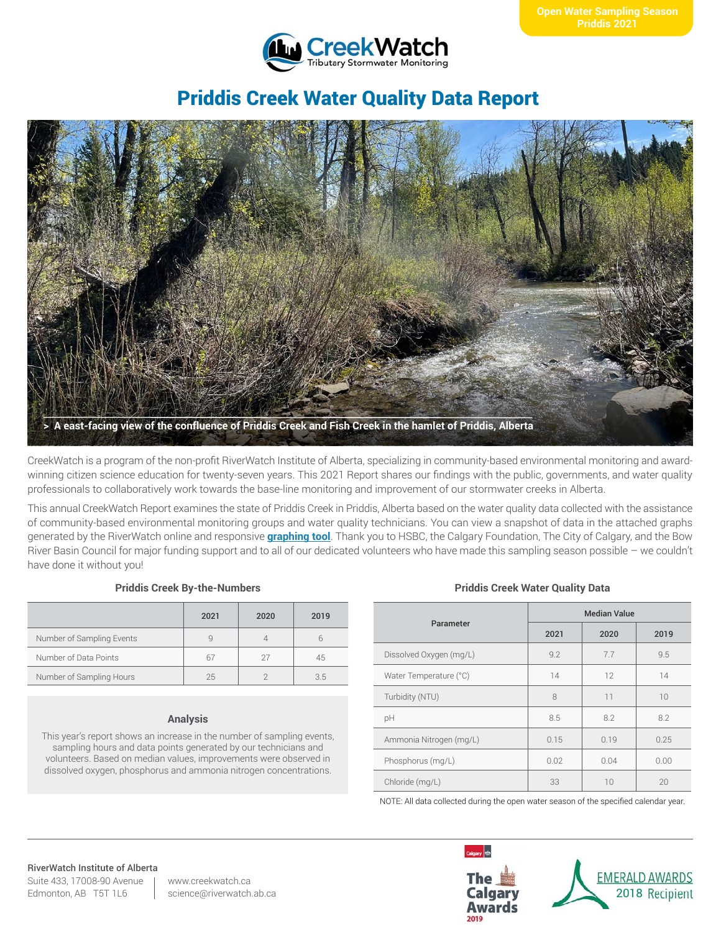

# Priddis Creek Water Quality Data Report



CreekWatch is a program of the non-profit RiverWatch Institute of Alberta, specializing in community-based environmental monitoring and awardwinning citizen science education for twenty-seven years. This 2021 Report shares our findings with the public, governments, and water quality professionals to collaboratively work towards the base-line monitoring and improvement of our stormwater creeks in Alberta.

This annual CreekWatch Report examines the state of Priddis Creek in Priddis, Alberta based on the water quality data collected with the assistance of community-based environmental monitoring groups and water quality technicians. You can view a snapshot of data in the attached graphs generated by the RiverWatch online and responsive **[graphing tool](http://www.riverwatch.ab.ca/index.php/science/data)**. Thank you to HSBC, the Calgary Foundation, The City of Calgary, and the Bow River Basin Council for major funding support and to all of our dedicated volunteers who have made this sampling season possible – we couldn't have done it without you!

### **Priddis Creek By-the-Numbers**

|                           | 2021 | 2020 | 2019 |
|---------------------------|------|------|------|
| Number of Sampling Events | q    |      |      |
| Number of Data Points     | 67   | 27   | 45   |
| Number of Sampling Hours  | 25   |      | 35   |

### **Analysis**

This year's report shows an increase in the number of sampling events, sampling hours and data points generated by our technicians and volunteers. Based on median values, improvements were observed in dissolved oxygen, phosphorus and ammonia nitrogen concentrations.

### **Priddis Creek Water Quality Data**

| Parameter               | <b>Median Value</b> |      |      |
|-------------------------|---------------------|------|------|
|                         | 2021                | 2020 | 2019 |
| Dissolved Oxygen (mg/L) | 9.2                 | 7.7  | 9.5  |
| Water Temperature (°C)  | 14                  | 12   | 14   |
| Turbidity (NTU)         | 8                   | 11   | 10   |
| pH                      | 8.5                 | 8.2  | 8.2  |
| Ammonia Nitrogen (mg/L) | 0.15                | 0.19 | 0.25 |
| Phosphorus (mg/L)       | 0.02                | 0.04 | 0.00 |
| Chloride (mg/L)         | 33                  | 10   | 20   |

NOTE: All data collected during the open water season of the specified calendar year.

# RiverWatch Institute of Alberta

Suite 433, 17008-90 Avenue Edmonton, AB T5T 1L6

www.creekwatch.ca science@riverwatch.ab.ca